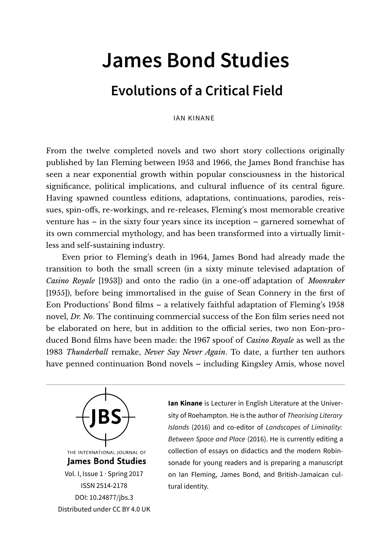## **James Bond Studies**

## **Evolutions of a Critical Field**

IAN KINANE

From the twelve completed novels and two short story collections originally published by Ian Fleming between 1953 and 1966, the James Bond franchise has seen a near exponential growth within popular consciousness in the historical significance, political implications, and cultural influence of its central figure. Having spawned countless editions, adaptations, continuations, parodies, reissues, spin-offs, re-workings, and re-releases, Fleming's most memorable creative venture has – in the sixty four years since its inception – garnered somewhat of its own commercial mythology, and has been transformed into a virtually limitless and self-sustaining industry.

Even prior to Fleming's death in 1964, James Bond had already made the transition to both the small screen (in a sixty minute televised adaptation of *Casino Royale* [1953]) and onto the radio (in a one-off adaptation of *Moonraker* [1955]), before being immortalised in the guise of Sean Connery in the first of Eon Productions' Bond films – a relatively faithful adaptation of Fleming's 1958 novel, *Dr. No*. The continuing commercial success of the Eon film series need not be elaborated on here, but in addition to the official series, two non Eon-produced Bond films have been made: the 1967 spoof of *Casino Royale* as well as the 1983 *Thunderball* remake, *Never Say Never Again*. To date, a further ten authors have penned continuation Bond novels – including Kingsley Amis, whose novel



ISSN 2514-2178 [DOI: 10.24877/jbs.3](https://doi.org/10.24877/jbs.3) Distributed under [CC BY 4.0 UK](https://creativecommons.org/licenses/by/2.0/uk/) **Ian Kinane** is Lecturer in English Literature at the University of Roehampton. He is the author of Theorising Literary Islands (2016) and co-editor of Landscapes of Liminality: Between Space and Place (2016). He is currently editing a collection of essays on didactics and the modern Robinsonade for young readers and is preparing a manuscript on Ian Fleming, James Bond, and British-Jamaican cultural identity.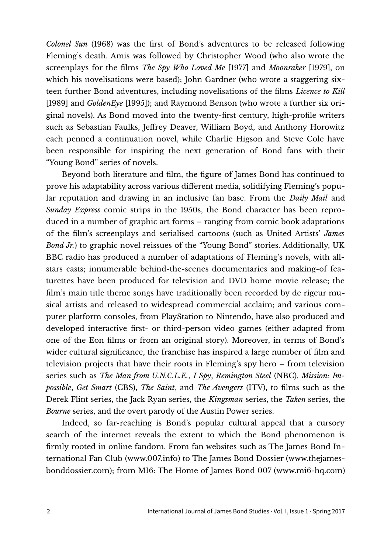*Colonel Sun* (1968) was the first of Bond's adventures to be released following Fleming's death. Amis was followed by Christopher Wood (who also wrote the screenplays for the films *The Spy Who Loved Me* [1977] and *Moonraker* [1979], on which his novelisations were based); John Gardner (who wrote a staggering sixteen further Bond adventures, including novelisations of the films *Licence to Kill* [1989] and *GoldenEye* [1995]); and Raymond Benson (who wrote a further six original novels). As Bond moved into the twenty-first century, high-profile writers such as Sebastian Faulks, Jeffrey Deaver, William Boyd, and Anthony Horowitz each penned a continuation novel, while Charlie Higson and Steve Cole have been responsible for inspiring the next generation of Bond fans with their "Young Bond" series of novels.

Beyond both literature and film, the figure of James Bond has continued to prove his adaptability across various different media, solidifying Fleming's popular reputation and drawing in an inclusive fan base. From the *Daily Mail* and *Sunday Express* comic strips in the 1950s, the Bond character has been reproduced in a number of graphic art forms – ranging from comic book adaptations of the film's screenplays and serialised cartoons (such as United Artists' *James Bond Jr.*) to graphic novel reissues of the "Young Bond" stories. Additionally, UK BBC radio has produced a number of adaptations of Fleming's novels, with allstars casts; innumerable behind-the-scenes documentaries and making-of featurettes have been produced for television and DVD home movie release; the film's main title theme songs have traditionally been recorded by de rigeur musical artists and released to widespread commercial acclaim; and various computer platform consoles, from PlayStation to Nintendo, have also produced and developed interactive first- or third-person video games (either adapted from one of the Eon films or from an original story). Moreover, in terms of Bond's wider cultural significance, the franchise has inspired a large number of film and television projects that have their roots in Fleming's spy hero – from television series such as *The Man from U.N.C.L.E.*, *I Spy*, *Remington Steel* (NBC), *Mission: Impossible*, *Get Smart* (CBS), *The Saint*, and *The Avengers* (ITV), to films such as the Derek Flint series, the Jack Ryan series, the *Kingsman* series, the *Taken* series, the *Bourne* series, and the overt parody of the Austin Power series.

Indeed, so far-reaching is Bond's popular cultural appeal that a cursory search of the internet reveals the extent to which the Bond phenomenon is firmly rooted in online fandom. From fan websites such as The James Bond International Fan Club [\(www.007.info\)](http://www.007.info/) to The James Bond Dossier [\(www.thejames](http://www.thejamesbonddossier.com/)[bonddossier.com\)](http://www.thejamesbonddossier.com/); from MI6: The Home of James Bond 007 [\(www.mi6-hq.com\)](http://www.mi6-hq.com/)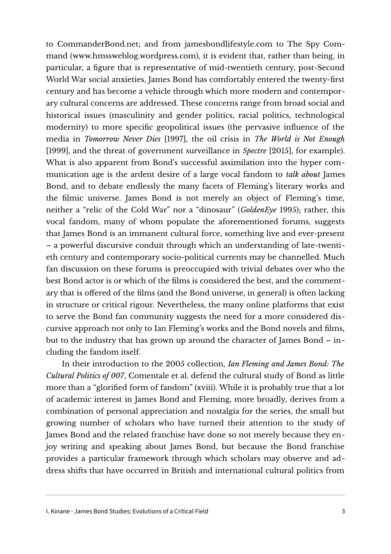to [CommanderBond.net;](http://www.CommanderBond.net/) and from [jamesbondlifestyle.com](http://www.jamesbondlifestyle.com/) to The Spy Command [\(www.hmssweblog.wordpress.com\)](http://www.hmssweblog.wordpress.com/), it is evident that, rather than being, in particular, a figure that is representative of mid-twentieth century, post-Second World War social anxieties, James Bond has comfortably entered the twenty-first century and has become a vehicle through which more modern and contemporary cultural concerns are addressed. These concerns range from broad social and historical issues (masculinity and gender politics, racial politics, technological modernity) to more specific geopolitical issues (the pervasive influence of the media in *Tomorrow Never Dies* [1997], the oil crisis in *The World is Not Enough* [1999], and the threat of government surveillance in *Spectre* [2015], for example). What is also apparent from Bond's successful assimilation into the hyper communication age is the ardent desire of a large vocal fandom to *talk about* James Bond, and to debate endlessly the many facets of Fleming's literary works and the filmic universe. James Bond is not merely an object of Fleming's time, neither a "relic of the Cold War" nor a "dinosaur" (*GoldenEye* 1995); rather, this vocal fandom, many of whom populate the aforementioned forums, suggests that James Bond is an immanent cultural force, something live and ever-present – a powerful discursive conduit through which an understanding of late-twentieth century and contemporary socio-political currents may be channelled. Much fan discussion on these forums is preoccupied with trivial debates over who the best Bond actor is or which of the films is considered the best, and the commentary that is offered of the films (and the Bond universe, in general) is often lacking in structure or critical rigour. Nevertheless, the many online platforms that exist to serve the Bond fan community suggests the need for a more considered discursive approach not only to Ian Fleming's works and the Bond novels and films, but to the industry that has grown up around the character of James Bond – including the fandom itself.

In their introduction to the 2005 collection, *Ian Fleming and James Bond: The Cultural Politics of 007*, Comentale et al. defend the cultural study of Bond as little more than a "glorified form of fandom" (xviii). While it is probably true that a lot of academic interest in James Bond and Fleming, more broadly, derives from a combination of personal appreciation and nostalgia for the series, the small but growing number of scholars who have turned their attention to the study of James Bond and the related franchise have done so not merely because they enjoy writing and speaking about James Bond, but because the Bond franchise provides a particular framework through which scholars may observe and address shifts that have occurred in British and international cultural politics from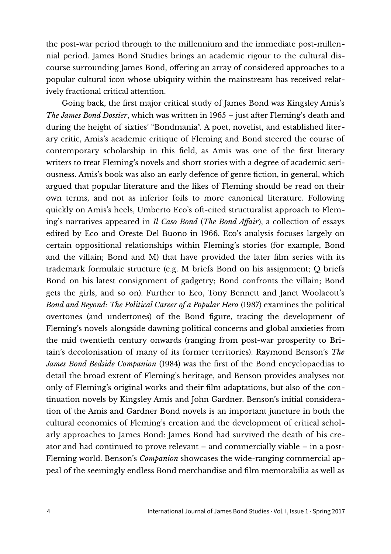the post-war period through to the millennium and the immediate post-millennial period. James Bond Studies brings an academic rigour to the cultural discourse surrounding James Bond, offering an array of considered approaches to a popular cultural icon whose ubiquity within the mainstream has received relatively fractional critical attention.

Going back, the first major critical study of James Bond was Kingsley Amis's *The James Bond Dossier*, which was written in 1965 – just after Fleming's death and during the height of sixties' "Bondmania". A poet, novelist, and established literary critic, Amis's academic critique of Fleming and Bond steered the course of contemporary scholarship in this field, as Amis was one of the first literary writers to treat Fleming's novels and short stories with a degree of academic seriousness. Amis's book was also an early defence of genre fiction, in general, which argued that popular literature and the likes of Fleming should be read on their own terms, and not as inferior foils to more canonical literature. Following quickly on Amis's heels, Umberto Eco's oft-cited structuralist approach to Fleming's narratives appeared in *Il Caso Bond* (*The Bond Affair*), a collection of essays edited by Eco and Oreste Del Buono in 1966. Eco's analysis focuses largely on certain oppositional relationships within Fleming's stories (for example, Bond and the villain; Bond and M) that have provided the later film series with its trademark formulaic structure (e.g. M briefs Bond on his assignment; Q briefs Bond on his latest consignment of gadgetry; Bond confronts the villain; Bond gets the girls, and so on). Further to Eco, Tony Bennett and Janet Woolacott's *Bond and Beyond: The Political Career of a Popular Hero* (1987) examines the political overtones (and undertones) of the Bond figure, tracing the development of Fleming's novels alongside dawning political concerns and global anxieties from the mid twentieth century onwards (ranging from post-war prosperity to Britain's decolonisation of many of its former territories). Raymond Benson's *The James Bond Bedside Companion* (1984) was the first of the Bond encyclopaedias to detail the broad extent of Fleming's heritage, and Benson provides analyses not only of Fleming's original works and their film adaptations, but also of the continuation novels by Kingsley Amis and John Gardner. Benson's initial consideration of the Amis and Gardner Bond novels is an important juncture in both the cultural economics of Fleming's creation and the development of critical scholarly approaches to James Bond: James Bond had survived the death of his creator and had continued to prove relevant – and commercially viable – in a post-Fleming world. Benson's *Companion* showcases the wide-ranging commercial appeal of the seemingly endless Bond merchandise and film memorabilia as well as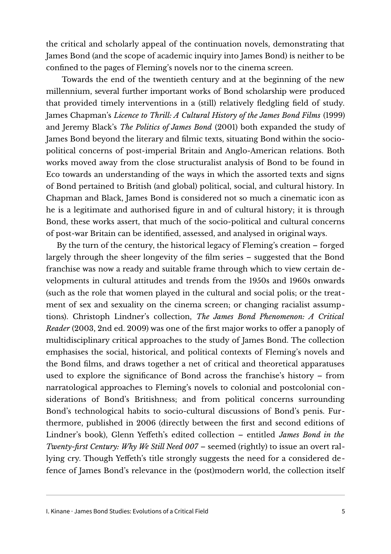the critical and scholarly appeal of the continuation novels, demonstrating that James Bond (and the scope of academic inquiry into James Bond) is neither to be confined to the pages of Fleming's novels nor to the cinema screen.

Towards the end of the twentieth century and at the beginning of the new millennium, several further important works of Bond scholarship were produced that provided timely interventions in a (still) relatively fledgling field of study. James Chapman's *Licence to Thrill: A Cultural History of the James Bond Films* (1999) and Jeremy Black's *The Politics of James Bond* (2001) both expanded the study of James Bond beyond the literary and filmic texts, situating Bond within the sociopolitical concerns of post-imperial Britain and Anglo-American relations. Both works moved away from the close structuralist analysis of Bond to be found in Eco towards an understanding of the ways in which the assorted texts and signs of Bond pertained to British (and global) political, social, and cultural history. In Chapman and Black, James Bond is considered not so much a cinematic icon as he is a legitimate and authorised figure in and of cultural history; it is through Bond, these works assert, that much of the socio-political and cultural concerns of post-war Britain can be identified, assessed, and analysed in original ways.

 By the turn of the century, the historical legacy of Fleming's creation – forged largely through the sheer longevity of the film series – suggested that the Bond franchise was now a ready and suitable frame through which to view certain developments in cultural attitudes and trends from the 1950s and 1960s onwards (such as the role that women played in the cultural and social polis; or the treatment of sex and sexuality on the cinema screen; or changing racialist assumptions). Christoph Lindner's collection, *The James Bond Phenomenon: A Critical Reader* (2003, 2nd ed. 2009) was one of the first major works to offer a panoply of multidisciplinary critical approaches to the study of James Bond. The collection emphasises the social, historical, and political contexts of Fleming's novels and the Bond films, and draws together a net of critical and theoretical apparatuses used to explore the significance of Bond across the franchise's history – from narratological approaches to Fleming's novels to colonial and postcolonial considerations of Bond's Britishness; and from political concerns surrounding Bond's technological habits to socio-cultural discussions of Bond's penis. Furthermore, published in 2006 (directly between the first and second editions of Lindner's book), Glenn Yeffeth's edited collection – entitled *James Bond in the Twenty-first Century: Why We Still Need 007 – seemed (rightly) to issue an overt ral*lying cry. Though Yeffeth's title strongly suggests the need for a considered defence of James Bond's relevance in the (post)modern world, the collection itself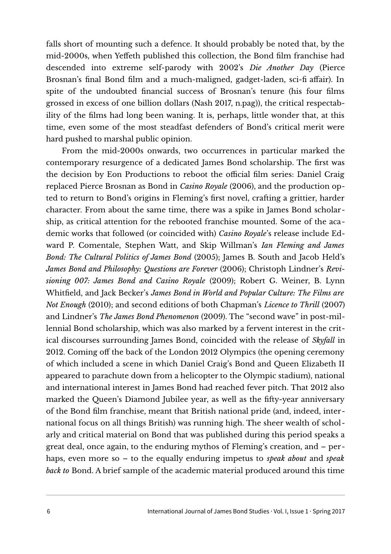falls short of mounting such a defence. It should probably be noted that, by the mid-2000s, when Yeffeth published this collection, the Bond film franchise had descended into extreme self-parody with 2002's *Die Another Day* (Pierce Brosnan's final Bond film and a much-maligned, gadget-laden, sci-fi affair). In spite of the undoubted financial success of Brosnan's tenure (his four films grossed in excess of one billion dollars (Nash 2017, n.pag)), the critical respectability of the films had long been waning. It is, perhaps, little wonder that, at this time, even some of the most steadfast defenders of Bond's critical merit were hard pushed to marshal public opinion.

From the mid-2000s onwards, two occurrences in particular marked the contemporary resurgence of a dedicated James Bond scholarship. The first was the decision by Eon Productions to reboot the official film series: Daniel Craig replaced Pierce Brosnan as Bond in *Casino Royale* (2006), and the production opted to return to Bond's origins in Fleming's first novel, crafting a grittier, harder character. From about the same time, there was a spike in James Bond scholarship, as critical attention for the rebooted franchise mounted. Some of the academic works that followed (or coincided with) *Casino Royale*'s release include Edward P. Comentale, Stephen Watt, and Skip Willman's *Ian Fleming and James Bond: The Cultural Politics of James Bond* (2005); James B. South and Jacob Held's James Bond and Philosophy: Questions are Forever (2006); Christoph Lindner's Revi*sioning 007: James Bond and Casino Royale* (2009); Robert G. Weiner, B. Lynn Whitfield, and Jack Becker's *James Bond in World and Popular Culture: The Films are Not Enough* (2010); and second editions of both Chapman's *Licence to Thrill* (2007) and Lindner's *The James Bond Phenomenon* (2009). The "second wave" in post-millennial Bond scholarship, which was also marked by a fervent interest in the critical discourses surrounding James Bond, coincided with the release of *Skyfall* in 2012. Coming off the back of the London 2012 Olympics (the opening ceremony of which included a scene in which Daniel Craig's Bond and Queen Elizabeth II appeared to parachute down from a helicopter to the Olympic stadium), national and international interest in James Bond had reached fever pitch. That 2012 also marked the Queen's Diamond Jubilee year, as well as the fifty-year anniversary of the Bond film franchise, meant that British national pride (and, indeed, international focus on all things British) was running high. The sheer wealth of scholarly and critical material on Bond that was published during this period speaks a great deal, once again, to the enduring mythos of Fleming's creation, and – perhaps, even more so – to the equally enduring impetus to *speak about* and *speak back to* Bond. A brief sample of the academic material produced around this time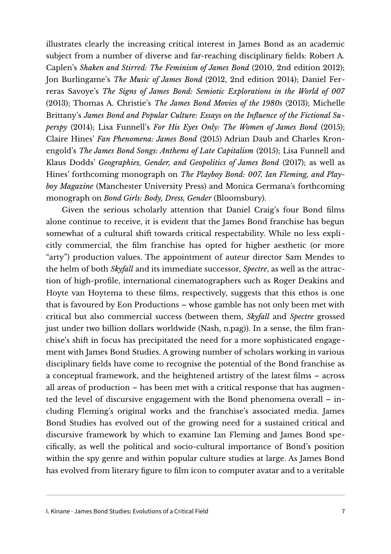illustrates clearly the increasing critical interest in James Bond as an academic subject from a number of diverse and far-reaching disciplinary fields: Robert A. Caplen's *Shaken and Stirred: The Feminism of James Bond* (2010, 2nd edition 2012); Jon Burlingame's *The Music of James Bond* (2012, 2nd edition 2014); Daniel Ferreras Savoye's *The Signs of James Bond: Semiotic Explorations in the World of 007* (2013); Thomas A. Christie's *The James Bond Movies of the 1980s* (2013); Michelle Brittany's *James Bond and Popular Culture: Essays on the Influence of the Fictional Superspy* (2014); Lisa Funnell's *For His Eyes Only: The Women of James Bond* (2015); Claire Hines' *Fan Phenomena: James Bond* (2015) Adrian Daub and Charles Kronengold's *The James Bond Songs: Anthems of Late Capitalism* (2015); Lisa Funnell and Klaus Dodds' *Geographies, Gender, and Geopolitics of James Bond* (2017); as well as Hines' forthcoming monograph on *The Playboy Bond: 007, Ian Fleming, and Playboy Magazine* (Manchester University Press) and Monica Germana's forthcoming monograph on *Bond Girls: Body, Dress, Gender* (Bloomsbury).

Given the serious scholarly attention that Daniel Craig's four Bond films alone continue to receive, it is evident that the James Bond franchise has begun somewhat of a cultural shift towards critical respectability. While no less expli citly commercial, the film franchise has opted for higher aesthetic (or more "arty") production values. The appointment of auteur director Sam Mendes to the helm of both *Skyfall* and its immediate successor, *Spectre*, as well as the attraction of high-profile, international cinematographers such as Roger Deakins and Hoyte van Hoytema to these films, respectively, suggests that this ethos is one that is favoured by Eon Productions – whose gamble has not only been met with critical but also commercial success (between them, *Skyfall* and *Spectre* grossed just under two billion dollars worldwide (Nash, n.pag)). In a sense, the film franchise's shift in focus has precipitated the need for a more sophisticated engagement with James Bond Studies. A growing number of scholars working in various disciplinary fields have come to recognise the potential of the Bond franchise as a conceptual framework, and the heightened artistry of the latest films – across all areas of production – has been met with a critical response that has augmented the level of discursive engagement with the Bond phenomena overall – including Fleming's original works and the franchise's associated media. James Bond Studies has evolved out of the growing need for a sustained critical and discursive framework by which to examine Ian Fleming and James Bond specifically, as well the political and socio-cultural importance of Bond's position within the spy genre and within popular culture studies at large. As James Bond has evolved from literary figure to film icon to computer avatar and to a veritable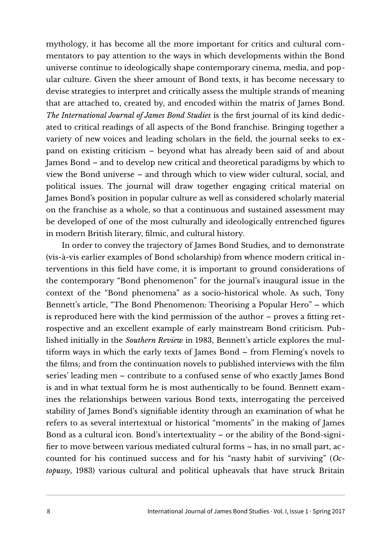mythology, it has become all the more important for critics and cultural commentators to pay attention to the ways in which developments within the Bond universe continue to ideologically shape contemporary cinema, media, and popular culture. Given the sheer amount of Bond texts, it has become necessary to devise strategies to interpret and critically assess the multiple strands of meaning that are attached to, created by, and encoded within the matrix of James Bond. *The International Journal of James Bond Studies* is the first journal of its kind dedicated to critical readings of all aspects of the Bond franchise. Bringing together a variety of new voices and leading scholars in the field, the journal seeks to expand on existing criticism – beyond what has already been said of and about James Bond – and to develop new critical and theoretical paradigms by which to view the Bond universe – and through which to view wider cultural, social, and political issues. The journal will draw together engaging critical material on James Bond's position in popular culture as well as considered scholarly material on the franchise as a whole, so that a continuous and sustained assessment may be developed of one of the most culturally and ideologically entrenched figures in modern British literary, filmic, and cultural history.

In order to convey the trajectory of James Bond Studies, and to demonstrate (vis-à-vis earlier examples of Bond scholarship) from whence modern critical interventions in this field have come, it is important to ground considerations of the contemporary "Bond phenomenon" for the journal's inaugural issue in the context of the "Bond phenomena" as a socio-historical whole. As such, Tony Bennett's article, "The Bond Phenomenon: Theorising a Popular Hero" – which is reproduced here with the kind permission of the author – proves a fitting retrospective and an excellent example of early mainstream Bond criticism. Published initially in the *Southern Review* in 1983, Bennett's article explores the multiform ways in which the early texts of James Bond – from Fleming's novels to the films; and from the continuation novels to published interviews with the film series' leading men – contribute to a confused sense of who exactly James Bond is and in what textual form he is most authentically to be found. Bennett examines the relationships between various Bond texts, interrogating the perceived stability of James Bond's signifiable identity through an examination of what he refers to as several intertextual or historical "moments" in the making of James Bond as a cultural icon. Bond's intertextuality – or the ability of the Bond-signifier to move between various mediated cultural forms – has, in no small part, accounted for his continued success and for his "nasty habit of surviving" (*Octopussy*, 1983) various cultural and political upheavals that have struck Britain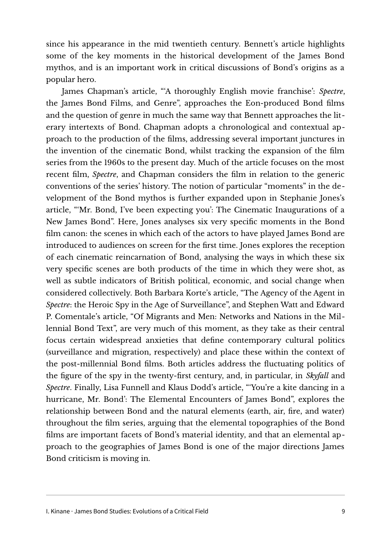since his appearance in the mid twentieth century. Bennett's article highlights some of the key moments in the historical development of the James Bond mythos, and is an important work in critical discussions of Bond's origins as a popular hero.

James Chapman's article, "'A thoroughly English movie franchise': *Spectre*, the James Bond Films, and Genre", approaches the Eon-produced Bond films and the question of genre in much the same way that Bennett approaches the literary intertexts of Bond. Chapman adopts a chronological and contextual approach to the production of the films, addressing several important junctures in the invention of the cinematic Bond, whilst tracking the expansion of the film series from the 1960s to the present day. Much of the article focuses on the most recent film, *Spectre*, and Chapman considers the film in relation to the generic conventions of the series' history. The notion of particular "moments" in the development of the Bond mythos is further expanded upon in Stephanie Jones's article, "'Mr. Bond, I've been expecting you': The Cinematic Inaugurations of a New James Bond". Here, Jones analyses six very specific moments in the Bond film canon: the scenes in which each of the actors to have played James Bond are introduced to audiences on screen for the first time. Jones explores the reception of each cinematic reincarnation of Bond, analysing the ways in which these six very specific scenes are both products of the time in which they were shot, as well as subtle indicators of British political, economic, and social change when considered collectively. Both Barbara Korte's article, "The Agency of the Agent in *Spectre*: the Heroic Spy in the Age of Surveillance", and Stephen Watt and Edward P. Comentale's article, "Of Migrants and Men: Networks and Nations in the Millennial Bond Text", are very much of this moment, as they take as their central focus certain widespread anxieties that define contemporary cultural politics (surveillance and migration, respectively) and place these within the context of the post-millennial Bond films. Both articles address the fluctuating politics of the figure of the spy in the twenty-first century, and, in particular, in *Skyfall* and *Spectre*. Finally, Lisa Funnell and Klaus Dodd's article, "'You're a kite dancing in a hurricane, Mr. Bond': The Elemental Encounters of James Bond", explores the relationship between Bond and the natural elements (earth, air, fire, and water) throughout the film series, arguing that the elemental topographies of the Bond films are important facets of Bond's material identity, and that an elemental approach to the geographies of James Bond is one of the major directions James Bond criticism is moving in.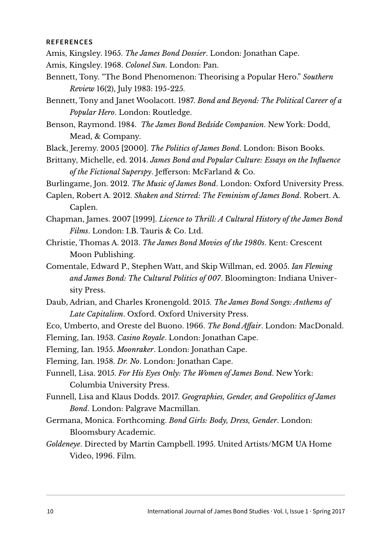## **REFERENCES**

- Amis, Kingsley. 1965. *The James Bond Dossier*. London: Jonathan Cape.
- Amis, Kingsley. 1968. *Colonel Sun*. London: Pan.
- Bennett, Tony. "The Bond Phenomenon: Theorising a Popular Hero." *Southern Review* 16(2), July 1983: 195-225.
- Bennett, Tony and Janet Woolacott. 1987. *Bond and Beyond: The Political Career of a Popular Hero*. London: Routledge.
- Benson, Raymond. 1984. *The James Bond Bedside Companion*. New York: Dodd, Mead, & Company.
- Black, Jeremy. 2005 [2000]. *The Politics of James Bond*. London: Bison Books.
- Brittany, Michelle, ed. 2014. *James Bond and Popular Culture: Essays on the Influence of the Fictional Superspy*. Jefferson: McFarland & Co.
- Burlingame, Jon. 2012. *The Music of James Bond*. London: Oxford University Press.
- Caplen, Robert A. 2012. *Shaken and Stirred: The Feminism of James Bond*. Robert. A. Caplen.
- Chapman, James. 2007 [1999]. *Licence to Thrill: A Cultural History of the James Bond Films*. London: I.B. Tauris & Co. Ltd.
- Christie, Thomas A. 2013. *The James Bond Movies of the 1980s*. Kent: Crescent Moon Publishing.
- Comentale, Edward P., Stephen Watt, and Skip Willman, ed. 2005. *Ian Fleming and James Bond: The Cultural Politics of 007*. Bloomington: Indiana University Press.
- Daub, Adrian, and Charles Kronengold. 2015. *The James Bond Songs: Anthems of Late Capitalism*. Oxford. Oxford University Press.
- Eco, Umberto, and Oreste del Buono. 1966. *The Bond Affair*. London: MacDonald.
- Fleming, Ian. 1953. *Casino Royale*. London: Jonathan Cape.
- Fleming, Ian. 1955. *Moonraker*. London: Jonathan Cape.
- Fleming, Ian. 1958. *Dr. No*. London: Jonathan Cape.
- Funnell, Lisa. 2015. *For His Eyes Only: The Women of James Bond*. New York: Columbia University Press.
- Funnell, Lisa and Klaus Dodds. 2017. *Geographies, Gender, and Geopolitics of James Bond*. London: Palgrave Macmillan.
- Germana, Monica. Forthcoming. *Bond Girls: Body, Dress, Gender*. London: Bloomsbury Academic.
- *Goldeneye*. Directed by Martin Campbell. 1995. United Artists/MGM UA Home Video, 1996. Film.